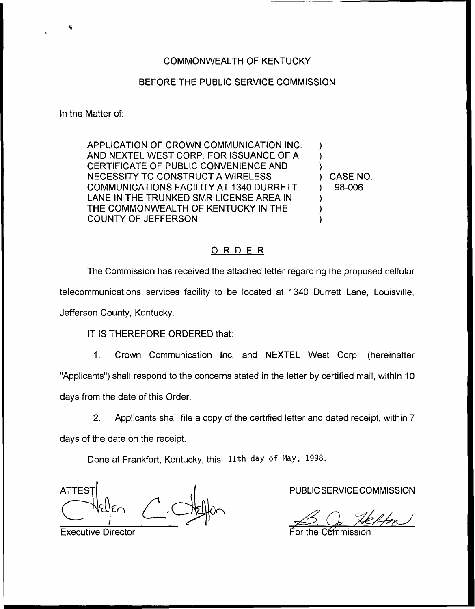## BEFORE THE PUBLIC SERVICE COMMISSION

In the Matter of:

APPLICATION OF CROWN COMMUNICATION INC. AND NEXTEL WEST CORP. FOR ISSUANCE OF A CERTIFICATE OF PUBLIC CONVENIENCE AND NECESSITY TO CONSTRUCT A WIRELESS COMMUNICATIONS FACILITY AT 1340 DURRETT LANE IN THE TRUNKED SMR LICENSE AREA IN THE COMMONWEALTH OF KENTUCKY IN THE COUNTY OF JEFFERSON

) CASE NO. ) 98-006

) ) )

) ) )

## ORDER

The Commission has received the attached letter regarding the proposed cellular telecommunications services facility to be located at 1340 Durrett Lane, Louisville, Jefferson County, Kentucky.

IT IS THEREFORE ORDERED that:

1. Crown Communication Inc. and NEXTEL West Corp. (hereinafter "Applicants") shall respond to the concerns stated in the letter by certified mail, within 10 days from the date of this Order.

2. Applicants shall file a copy of the certified letter and dated receipt, within 7 days of the date on the receipt.

Done at Frankfort, Kentucky, this 11th day of May, 1998.

**ATTES** 

Executive Director

PUBLIC SERVICE COMMISSION

I-O<br>For the Commission  $\frac{1}{\sqrt{1-\frac{1}{1-\frac{1}{1-\frac{1}{1-\frac{1}{1-\frac{1}{1-\frac{1}{1-\frac{1}{1-\frac{1}{1-\frac{1}{1-\frac{1}{1-\frac{1}{1-\frac{1}{1-\frac{1}{1-\frac{1}{1-\frac{1}{1-\frac{1}{1-\frac{1}{1-\frac{1}{1-\frac{1}{1-\frac{1}{1-\frac{1}{1-\frac{1}{1-\frac{1}{1-\frac{1}{1-\frac{1}{1-\frac{1}{1-\frac{1}{1-\frac{1}{1-\frac{1}{1-\frac{1}{1-\frac{1}{1-\frac{1}{1-\frac{1}{1-\frac{1}{1-\frac{1}{1-\$